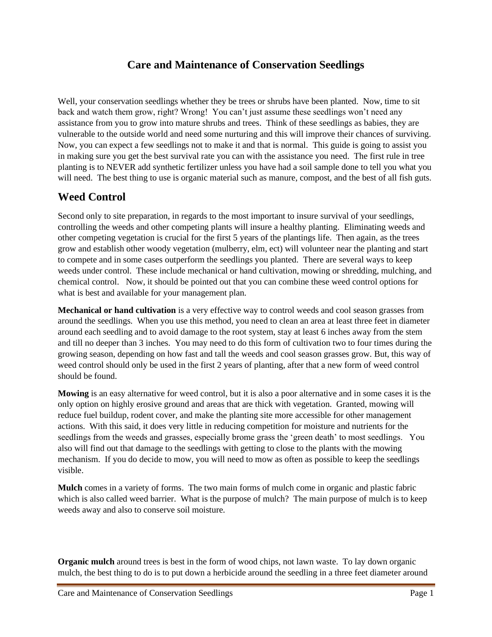#### **Care and Maintenance of Conservation Seedlings**

Well, your conservation seedlings whether they be trees or shrubs have been planted. Now, time to sit back and watch them grow, right? Wrong! You can't just assume these seedlings won't need any assistance from you to grow into mature shrubs and trees. Think of these seedlings as babies, they are vulnerable to the outside world and need some nurturing and this will improve their chances of surviving. Now, you can expect a few seedlings not to make it and that is normal. This guide is going to assist you in making sure you get the best survival rate you can with the assistance you need. The first rule in tree planting is to NEVER add synthetic fertilizer unless you have had a soil sample done to tell you what you will need. The best thing to use is organic material such as manure, compost, and the best of all fish guts.

#### **Weed Control**

Second only to site preparation, in regards to the most important to insure survival of your seedlings, controlling the weeds and other competing plants will insure a healthy planting. Eliminating weeds and other competing vegetation is crucial for the first 5 years of the plantings life. Then again, as the trees grow and establish other woody vegetation (mulberry, elm, ect) will volunteer near the planting and start to compete and in some cases outperform the seedlings you planted. There are several ways to keep weeds under control. These include mechanical or hand cultivation, mowing or shredding, mulching, and chemical control. Now, it should be pointed out that you can combine these weed control options for what is best and available for your management plan.

**Mechanical or hand cultivation** is a very effective way to control weeds and cool season grasses from around the seedlings. When you use this method, you need to clean an area at least three feet in diameter around each seedling and to avoid damage to the root system, stay at least 6 inches away from the stem and till no deeper than 3 inches. You may need to do this form of cultivation two to four times during the growing season, depending on how fast and tall the weeds and cool season grasses grow. But, this way of weed control should only be used in the first 2 years of planting, after that a new form of weed control should be found.

**Mowing** is an easy alternative for weed control, but it is also a poor alternative and in some cases it is the only option on highly erosive ground and areas that are thick with vegetation. Granted, mowing will reduce fuel buildup, rodent cover, and make the planting site more accessible for other management actions. With this said, it does very little in reducing competition for moisture and nutrients for the seedlings from the weeds and grasses, especially brome grass the 'green death' to most seedlings. You also will find out that damage to the seedlings with getting to close to the plants with the mowing mechanism. If you do decide to mow, you will need to mow as often as possible to keep the seedlings visible.

**Mulch** comes in a variety of forms. The two main forms of mulch come in organic and plastic fabric which is also called weed barrier. What is the purpose of mulch? The main purpose of mulch is to keep weeds away and also to conserve soil moisture.

**Organic mulch** around trees is best in the form of wood chips, not lawn waste. To lay down organic mulch, the best thing to do is to put down a herbicide around the seedling in a three feet diameter around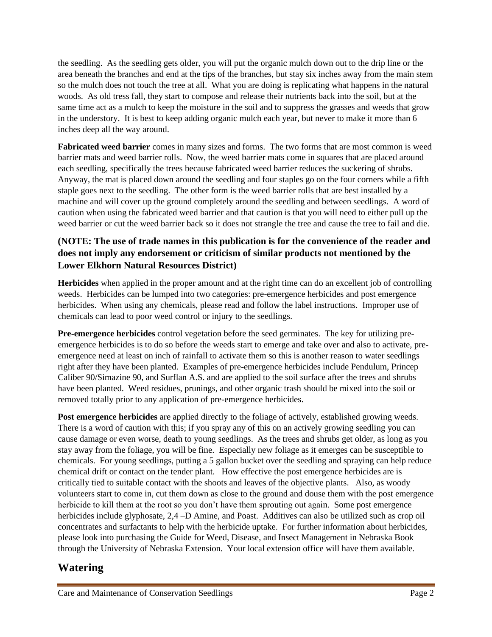the seedling. As the seedling gets older, you will put the organic mulch down out to the drip line or the area beneath the branches and end at the tips of the branches, but stay six inches away from the main stem so the mulch does not touch the tree at all. What you are doing is replicating what happens in the natural woods. As old tress fall, they start to compose and release their nutrients back into the soil, but at the same time act as a mulch to keep the moisture in the soil and to suppress the grasses and weeds that grow in the understory. It is best to keep adding organic mulch each year, but never to make it more than 6 inches deep all the way around.

**Fabricated weed barrier** comes in many sizes and forms. The two forms that are most common is weed barrier mats and weed barrier rolls. Now, the weed barrier mats come in squares that are placed around each seedling, specifically the trees because fabricated weed barrier reduces the suckering of shrubs. Anyway, the mat is placed down around the seedling and four staples go on the four corners while a fifth staple goes next to the seedling. The other form is the weed barrier rolls that are best installed by a machine and will cover up the ground completely around the seedling and between seedlings. A word of caution when using the fabricated weed barrier and that caution is that you will need to either pull up the weed barrier or cut the weed barrier back so it does not strangle the tree and cause the tree to fail and die.

#### **(NOTE: The use of trade names in this publication is for the convenience of the reader and does not imply any endorsement or criticism of similar products not mentioned by the Lower Elkhorn Natural Resources District)**

**Herbicides** when applied in the proper amount and at the right time can do an excellent job of controlling weeds. Herbicides can be lumped into two categories: pre-emergence herbicides and post emergence herbicides. When using any chemicals, please read and follow the label instructions. Improper use of chemicals can lead to poor weed control or injury to the seedlings.

**Pre-emergence herbicides** control vegetation before the seed germinates. The key for utilizing preemergence herbicides is to do so before the weeds start to emerge and take over and also to activate, preemergence need at least on inch of rainfall to activate them so this is another reason to water seedlings right after they have been planted. Examples of pre-emergence herbicides include Pendulum, Princep Caliber 90/Simazine 90, and Surflan A.S. and are applied to the soil surface after the trees and shrubs have been planted. Weed residues, prunings, and other organic trash should be mixed into the soil or removed totally prior to any application of pre-emergence herbicides.

**Post emergence herbicides** are applied directly to the foliage of actively, established growing weeds. There is a word of caution with this; if you spray any of this on an actively growing seedling you can cause damage or even worse, death to young seedlings. As the trees and shrubs get older, as long as you stay away from the foliage, you will be fine. Especially new foliage as it emerges can be susceptible to chemicals. For young seedlings, putting a 5 gallon bucket over the seedling and spraying can help reduce chemical drift or contact on the tender plant. How effective the post emergence herbicides are is critically tied to suitable contact with the shoots and leaves of the objective plants. Also, as woody volunteers start to come in, cut them down as close to the ground and douse them with the post emergence herbicide to kill them at the root so you don't have them sprouting out again. Some post emergence herbicides include glyphosate, 2,4 –D Amine, and Poast. Additives can also be utilized such as crop oil concentrates and surfactants to help with the herbicide uptake. For further information about herbicides, please look into purchasing the Guide for Weed, Disease, and Insect Management in Nebraska Book through the University of Nebraska Extension. Your local extension office will have them available.

# **Watering**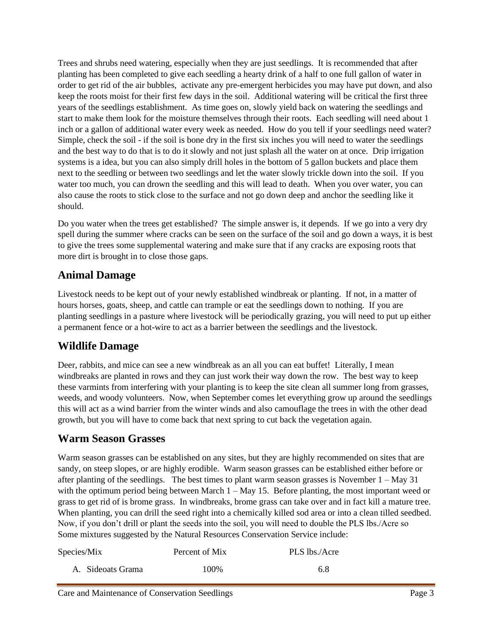Trees and shrubs need watering, especially when they are just seedlings. It is recommended that after planting has been completed to give each seedling a hearty drink of a half to one full gallon of water in order to get rid of the air bubbles, activate any pre-emergent herbicides you may have put down, and also keep the roots moist for their first few days in the soil. Additional watering will be critical the first three years of the seedlings establishment. As time goes on, slowly yield back on watering the seedlings and start to make them look for the moisture themselves through their roots. Each seedling will need about 1 inch or a gallon of additional water every week as needed. How do you tell if your seedlings need water? Simple, check the soil - if the soil is bone dry in the first six inches you will need to water the seedlings and the best way to do that is to do it slowly and not just splash all the water on at once. Drip irrigation systems is a idea, but you can also simply drill holes in the bottom of 5 gallon buckets and place them next to the seedling or between two seedlings and let the water slowly trickle down into the soil. If you water too much, you can drown the seedling and this will lead to death. When you over water, you can also cause the roots to stick close to the surface and not go down deep and anchor the seedling like it should.

Do you water when the trees get established? The simple answer is, it depends. If we go into a very dry spell during the summer where cracks can be seen on the surface of the soil and go down a ways, it is best to give the trees some supplemental watering and make sure that if any cracks are exposing roots that more dirt is brought in to close those gaps.

## **Animal Damage**

Livestock needs to be kept out of your newly established windbreak or planting. If not, in a matter of hours horses, goats, sheep, and cattle can trample or eat the seedlings down to nothing. If you are planting seedlings in a pasture where livestock will be periodically grazing, you will need to put up either a permanent fence or a hot-wire to act as a barrier between the seedlings and the livestock.

# **Wildlife Damage**

Deer, rabbits, and mice can see a new windbreak as an all you can eat buffet! Literally, I mean windbreaks are planted in rows and they can just work their way down the row. The best way to keep these varmints from interfering with your planting is to keep the site clean all summer long from grasses, weeds, and woody volunteers. Now, when September comes let everything grow up around the seedlings this will act as a wind barrier from the winter winds and also camouflage the trees in with the other dead growth, but you will have to come back that next spring to cut back the vegetation again.

## **Warm Season Grasses**

Warm season grasses can be established on any sites, but they are highly recommended on sites that are sandy, on steep slopes, or are highly erodible. Warm season grasses can be established either before or after planting of the seedlings. The best times to plant warm season grasses is November  $1 - May 31$ with the optimum period being between March 1 – May 15. Before planting, the most important weed or grass to get rid of is brome grass. In windbreaks, brome grass can take over and in fact kill a mature tree. When planting, you can drill the seed right into a chemically killed sod area or into a clean tilled seedbed. Now, if you don't drill or plant the seeds into the soil, you will need to double the PLS lbs./Acre so Some mixtures suggested by the Natural Resources Conservation Service include:

| Species/Mix       | Percent of Mix | PLS lbs./Acre |
|-------------------|----------------|---------------|
| A. Sideoats Grama | 100%           | 6.8           |